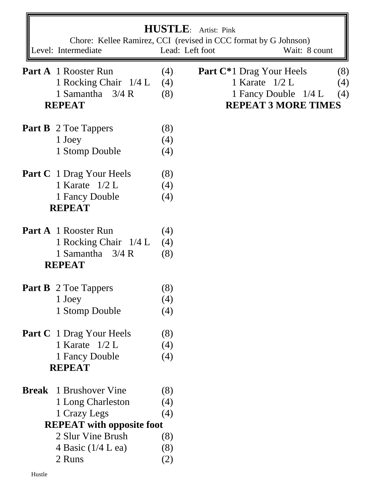|              |                                       |                 | <b>HUSTLE:</b> Artist: Pink<br>Chore: Kellee Ramirez, CCI (revised in CCC format by G Johnson) |
|--------------|---------------------------------------|-----------------|------------------------------------------------------------------------------------------------|
|              | Level: Intermediate                   | Lead: Left foot | Wait: 8 count                                                                                  |
|              |                                       |                 |                                                                                                |
|              | <b>Part A</b> 1 Rooster Run           | (4)             | <b>Part C*1 Drag Your Heels</b><br>(8)                                                         |
|              | 1 Rocking Chair 1/4 L                 | (4)             | 1 Karate $1/2$ L<br>(4)                                                                        |
|              | 1 Samantha 3/4 R<br><b>REPEAT</b>     | (8)             | 1 Fancy Double 1/4 L<br>(4)<br><b>REPEAT 3 MORE TIMES</b>                                      |
|              |                                       |                 |                                                                                                |
|              | <b>Part B</b> 2 Toe Tappers           | (8)             |                                                                                                |
|              | 1 Joey                                | (4)             |                                                                                                |
|              | 1 Stomp Double                        | (4)             |                                                                                                |
|              | <b>Part C</b> 1 Drag Your Heels       | (8)             |                                                                                                |
|              | 1 Karate $1/2$ L                      | (4)             |                                                                                                |
|              | 1 Fancy Double                        | (4)             |                                                                                                |
|              | <b>REPEAT</b>                         |                 |                                                                                                |
|              | <b>Part A</b> 1 Rooster Run           | (4)             |                                                                                                |
|              | 1 Rocking Chair 1/4 L                 | (4)             |                                                                                                |
|              | 1 Samantha $3/4$ R                    | (8)             |                                                                                                |
|              | <b>REPEAT</b>                         |                 |                                                                                                |
|              |                                       |                 |                                                                                                |
|              | <b>Part B</b> 2 Toe Tappers<br>1 Joey | (8)<br>(4)      |                                                                                                |
|              | 1 Stomp Double                        | (4)             |                                                                                                |
|              |                                       |                 |                                                                                                |
|              | <b>Part C</b> 1 Drag Your Heels       | (8)             |                                                                                                |
|              | 1 Karate $1/2$ L                      | (4)             |                                                                                                |
|              | 1 Fancy Double                        | (4)             |                                                                                                |
|              | <b>REPEAT</b>                         |                 |                                                                                                |
| <b>Break</b> | 1 Brushover Vine                      | (8)             |                                                                                                |
|              | 1 Long Charleston                     | (4)             |                                                                                                |
|              | 1 Crazy Legs                          | (4)             |                                                                                                |
|              | <b>REPEAT</b> with opposite foot      |                 |                                                                                                |
|              | 2 Slur Vine Brush                     | (8)             |                                                                                                |
|              | 4 Basic $(1/4$ L ea)                  | (8)             |                                                                                                |
|              | 2 Runs                                | (2)             |                                                                                                |
|              |                                       |                 |                                                                                                |